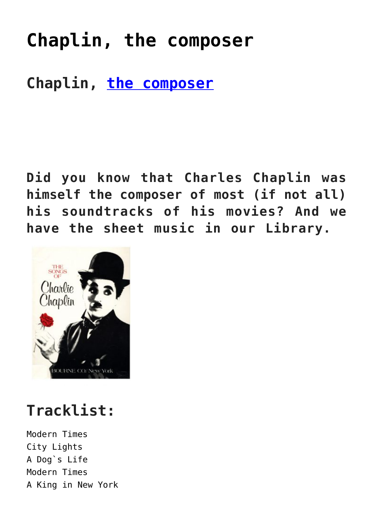# **[Chaplin, the composer](https://sheetmusiclibrary.website/2022/04/08/chaplin-the-composer-2/)**

#### **Chaplin, [the composer](https://youtu.be/b-DpJyyBY1E)**

**Did you know that Charles Chaplin was himself the composer of most (if not all) his soundtracks of his movies? And we have the sheet music in our Library.**



# **Tracklist:**

Modern Times City Lights A Dog`s Life Modern Times A King in New York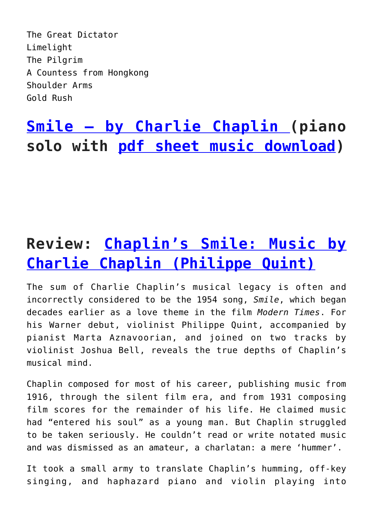The Great Dictator Limelight The Pilgrim A Countess from Hongkong Shoulder Arms Gold Rush

### **[Smile – by Charlie Chaplin \(](https://vimeo.com/596135089)piano solo with [pdf sheet music download](https://sheetmusiclibrary.website/))**

## **Review: [Chaplin's Smile: Music by](https://limelightmagazine.com.au/reviews/chaplins-smile-music-by-charlie-chaplin-philippe-quint/) [Charlie Chaplin \(Philippe Quint\)](https://limelightmagazine.com.au/reviews/chaplins-smile-music-by-charlie-chaplin-philippe-quint/)**

The sum of Charlie Chaplin's musical legacy is often and incorrectly considered to be the 1954 song, *Smile*, which began decades earlier as a love theme in the film *Modern Times*. For his Warner debut, violinist Philippe Quint, accompanied by pianist Marta Aznavoorian, and joined on two tracks by violinist Joshua Bell, reveals the true depths of Chaplin's musical mind.

Chaplin composed for most of his career, publishing music from 1916, through the silent film era, and from 1931 composing film scores for the remainder of his life. He claimed music had "entered his soul" as a young man. But Chaplin struggled to be taken seriously. He couldn't read or write notated music and was dismissed as an amateur, a charlatan: a mere 'hummer'.

It took a small army to translate Chaplin's humming, off-key singing, and haphazard piano and violin playing into